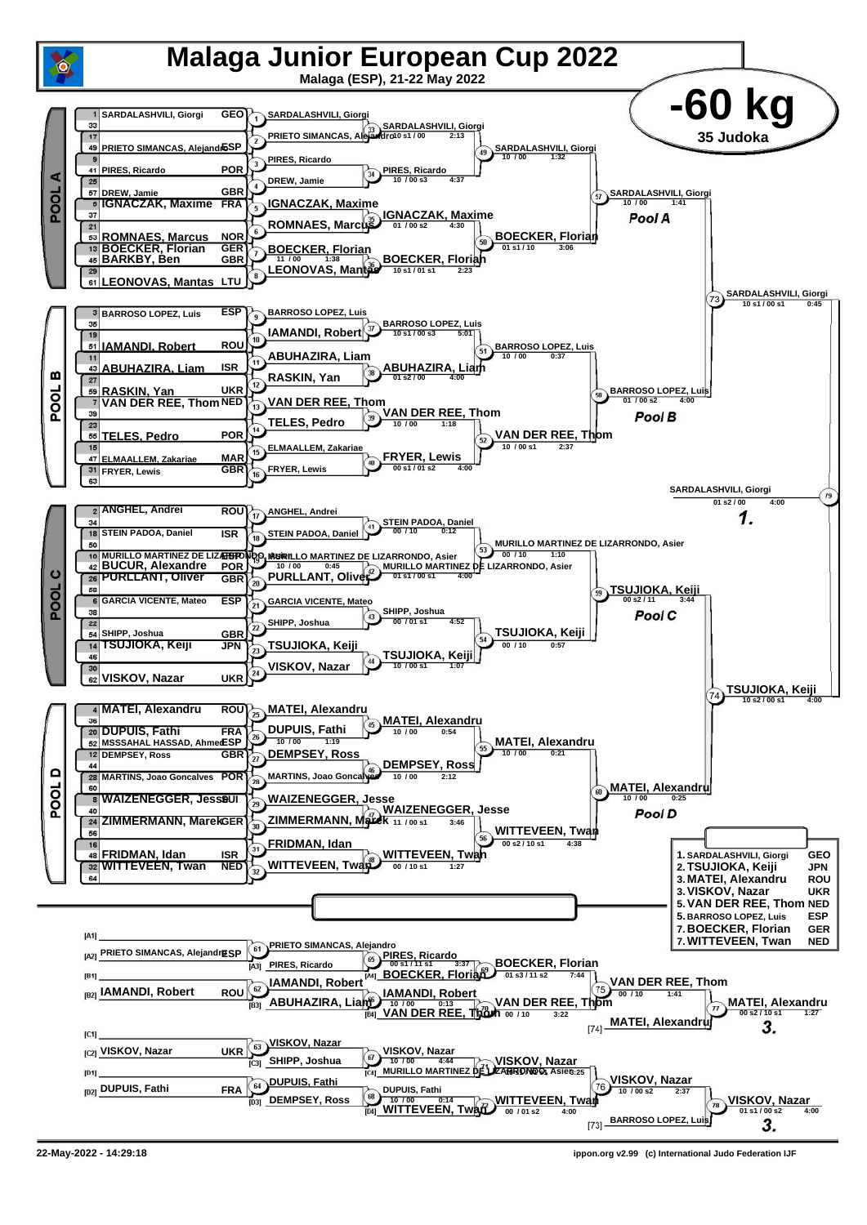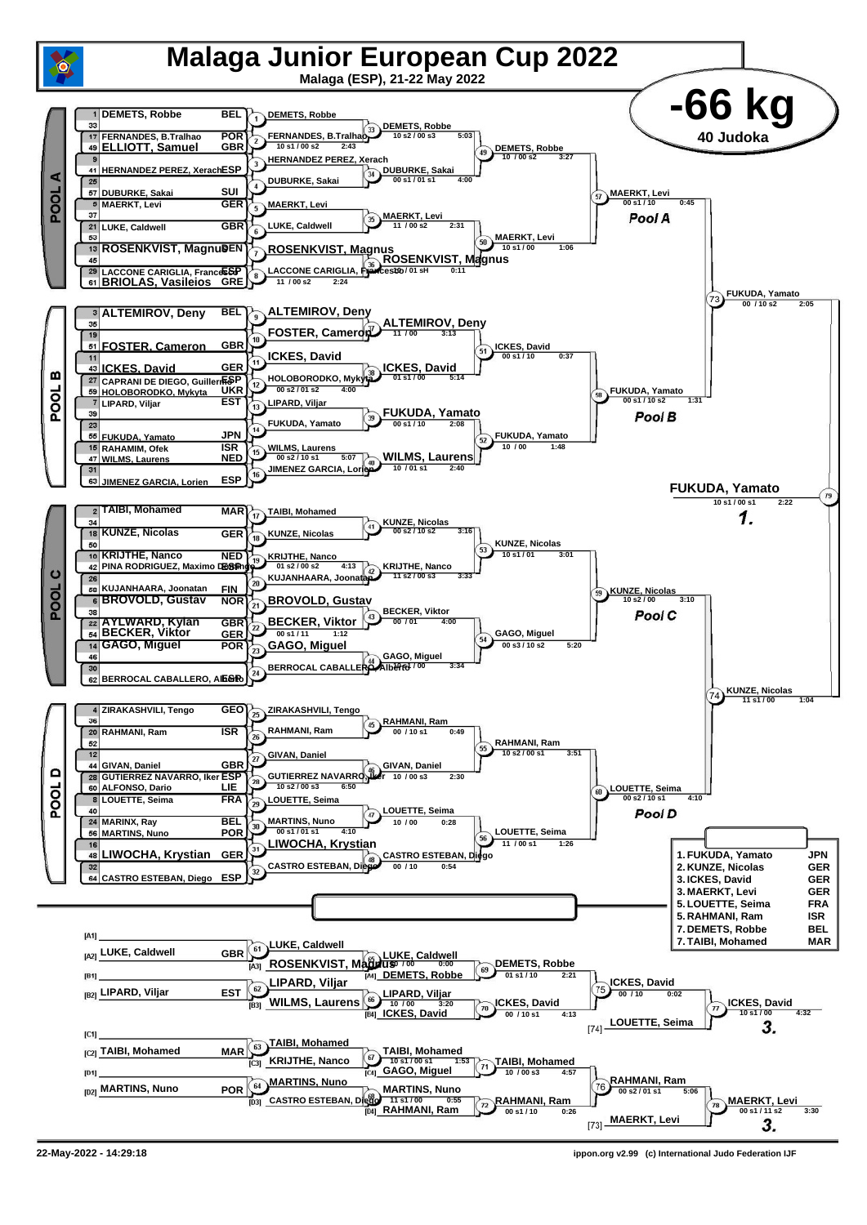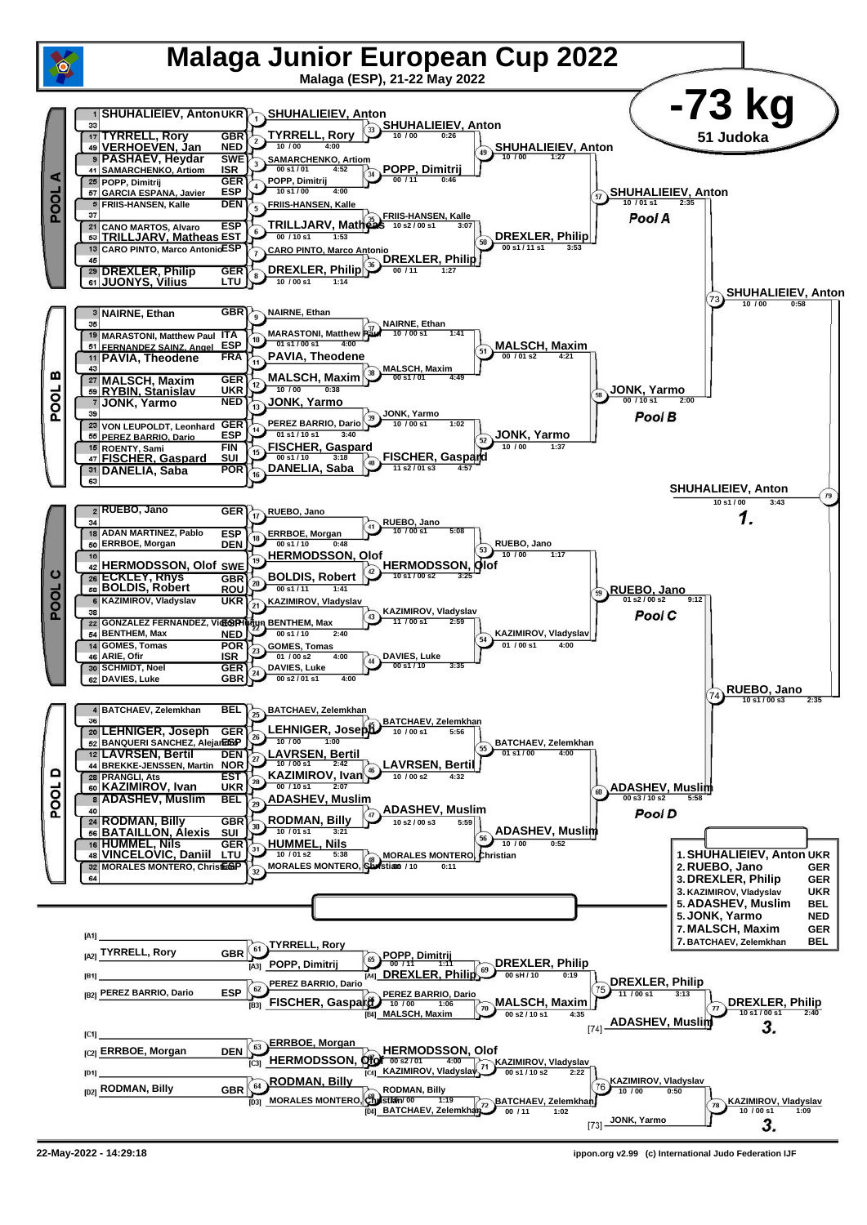

**<sup>22-</sup>May-2022 - 14:29:18 ippon.org v2.99 (c) International Judo Federation IJF**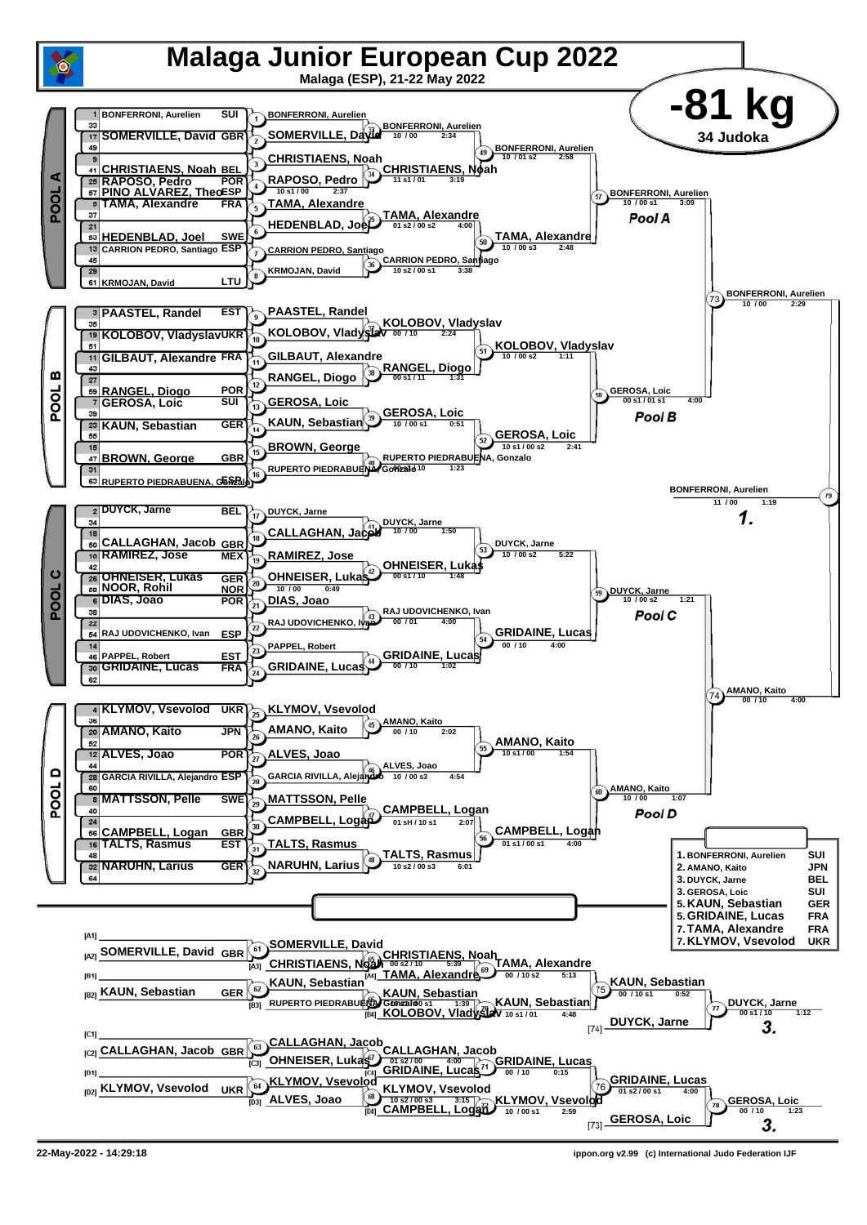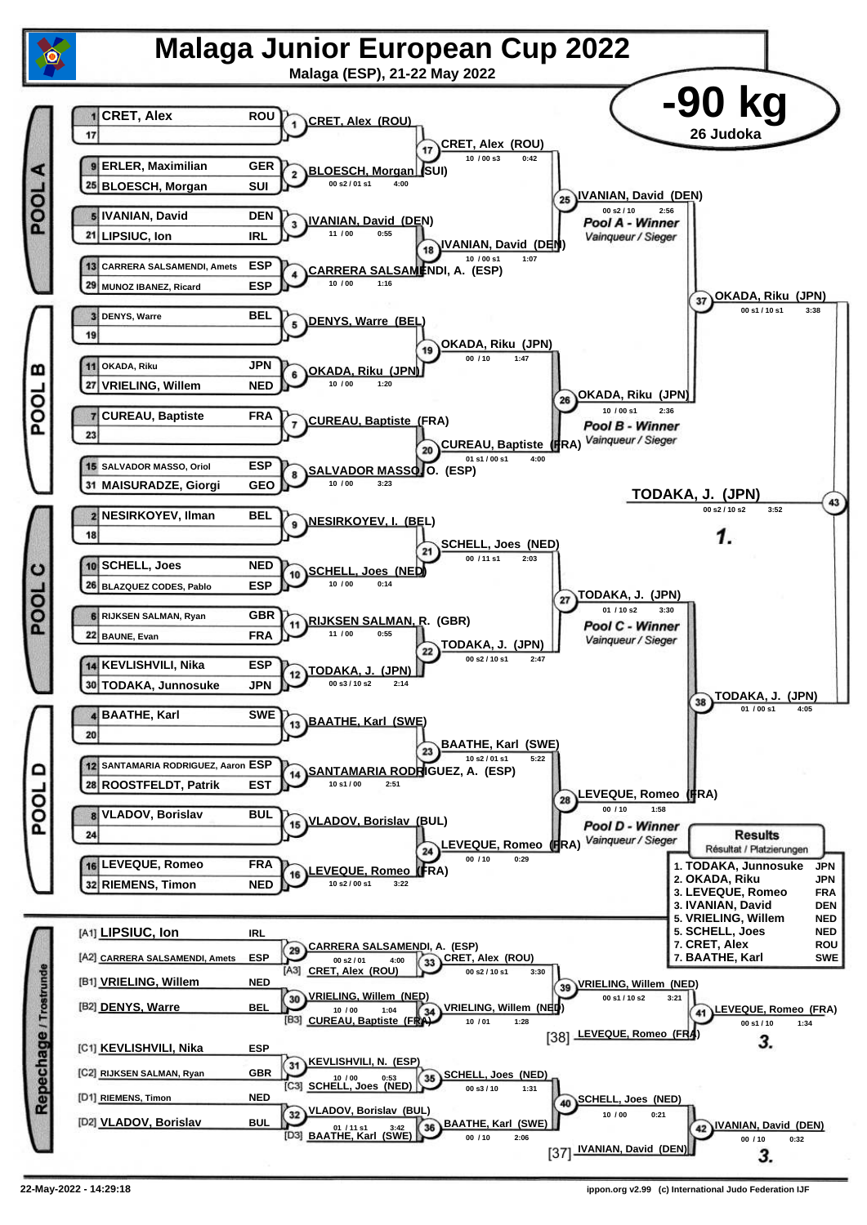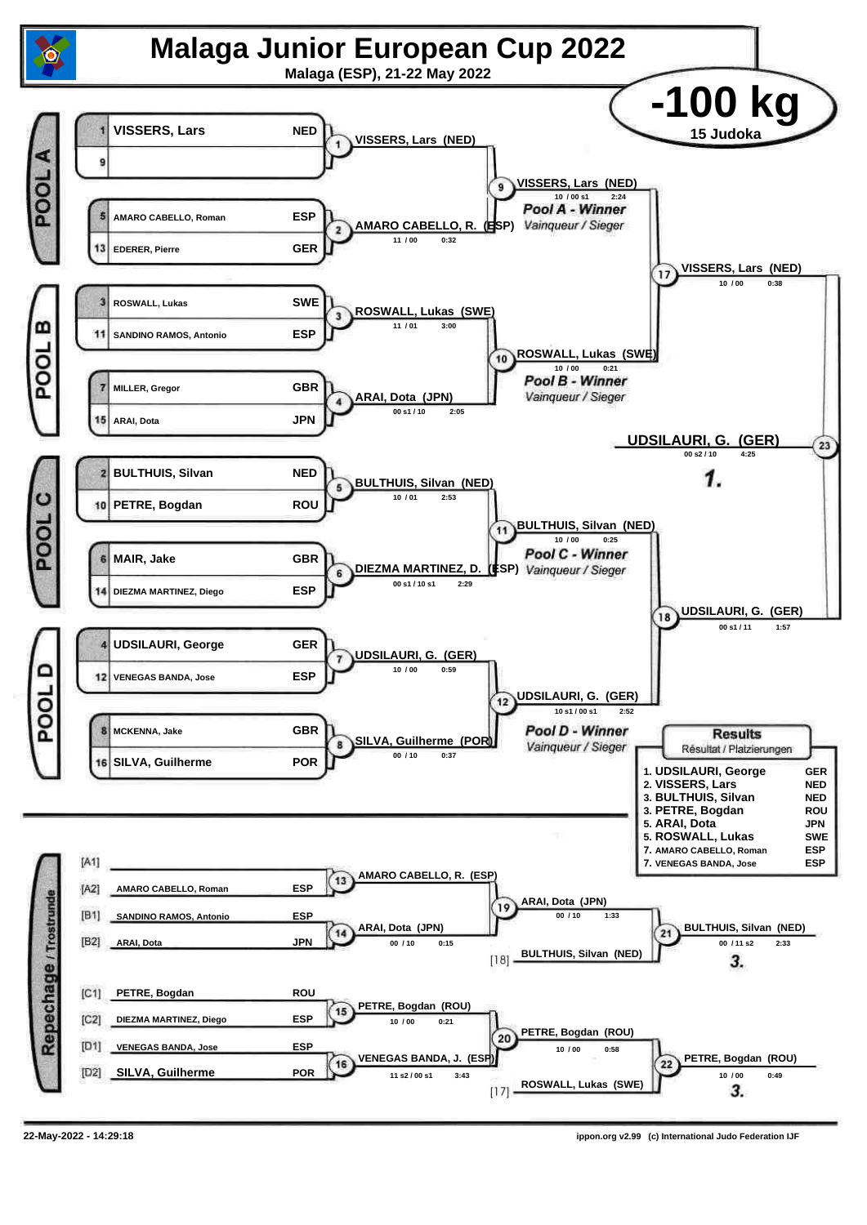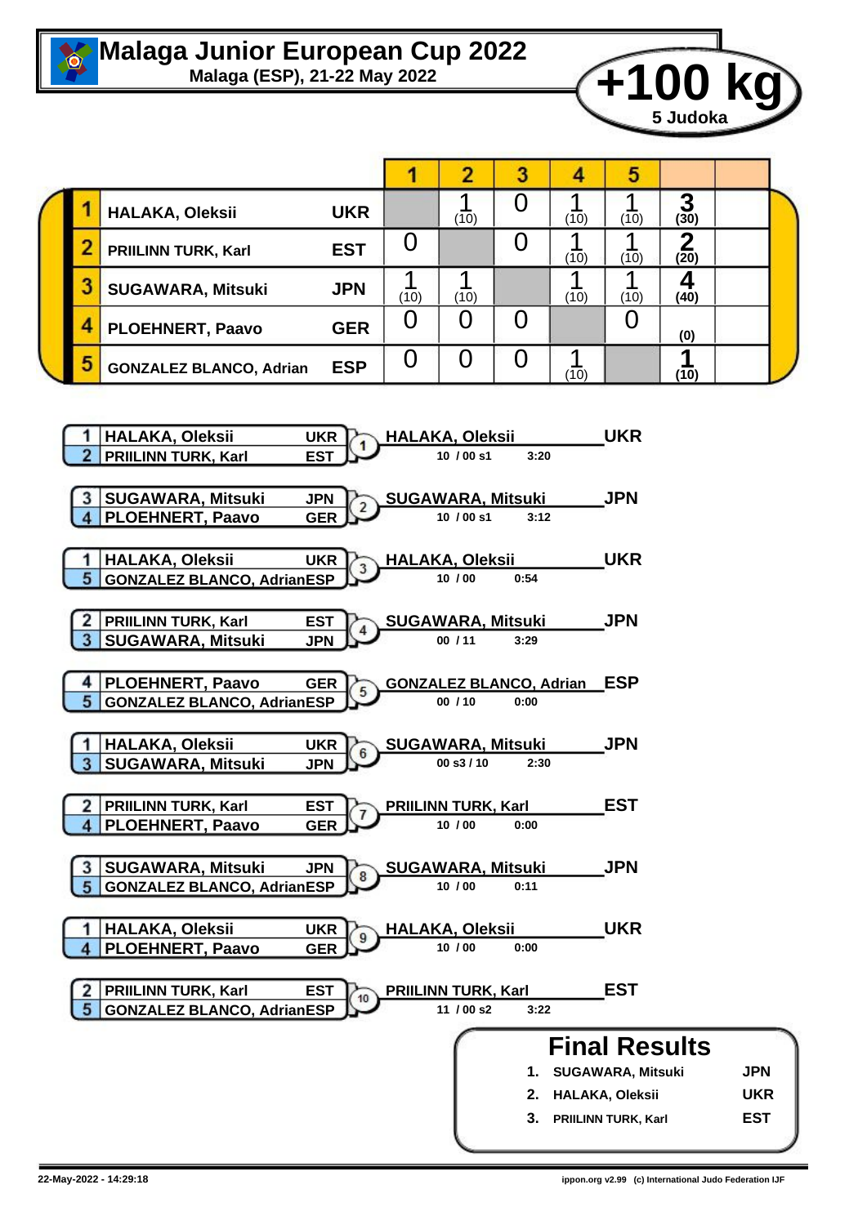

## **Malaga Junior European Cup 2022**<br>Malaga (ESP), 21-22 May 2022



|  |                  |                                |            |      |      |  |      | э    |           |  |  |
|--|------------------|--------------------------------|------------|------|------|--|------|------|-----------|--|--|
|  |                  | HALAKA, Oleksii                | <b>UKR</b> |      | (10) |  | (10) | (10) | о<br>(30) |  |  |
|  |                  | <b>PRIILINN TURK, Karl</b>     | <b>EST</b> |      |      |  | (10) | (10) | (20)      |  |  |
|  |                  | <b>SUGAWARA, Mitsuki</b>       | <b>JPN</b> | (10) | (10) |  | (10) | (10) | (40)      |  |  |
|  | $\boldsymbol{4}$ | <b>PLOEHNERT, Paavo</b>        | <b>GER</b> | U    |      |  |      |      | (0)       |  |  |
|  | 5                | <b>GONZALEZ BLANCO, Adrian</b> | <b>ESP</b> |      |      |  | (10) |      | (10)      |  |  |

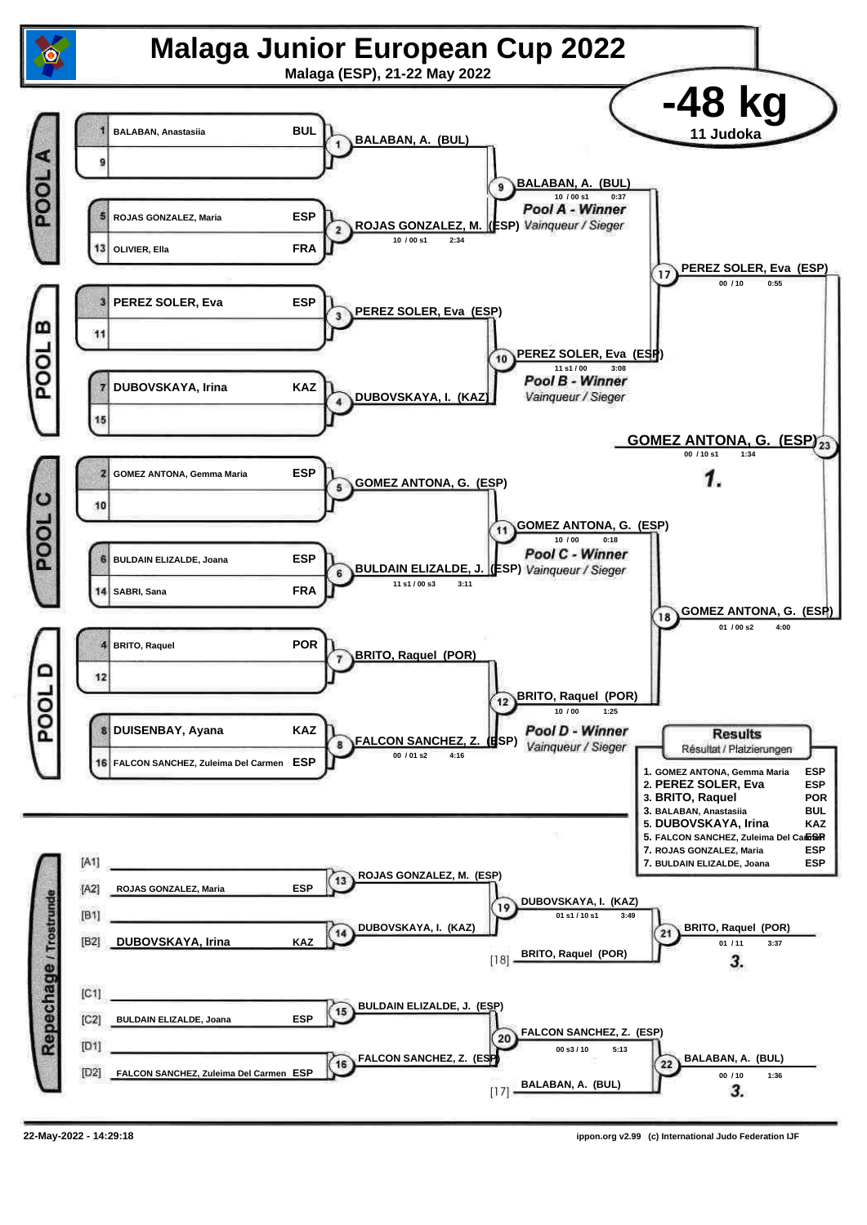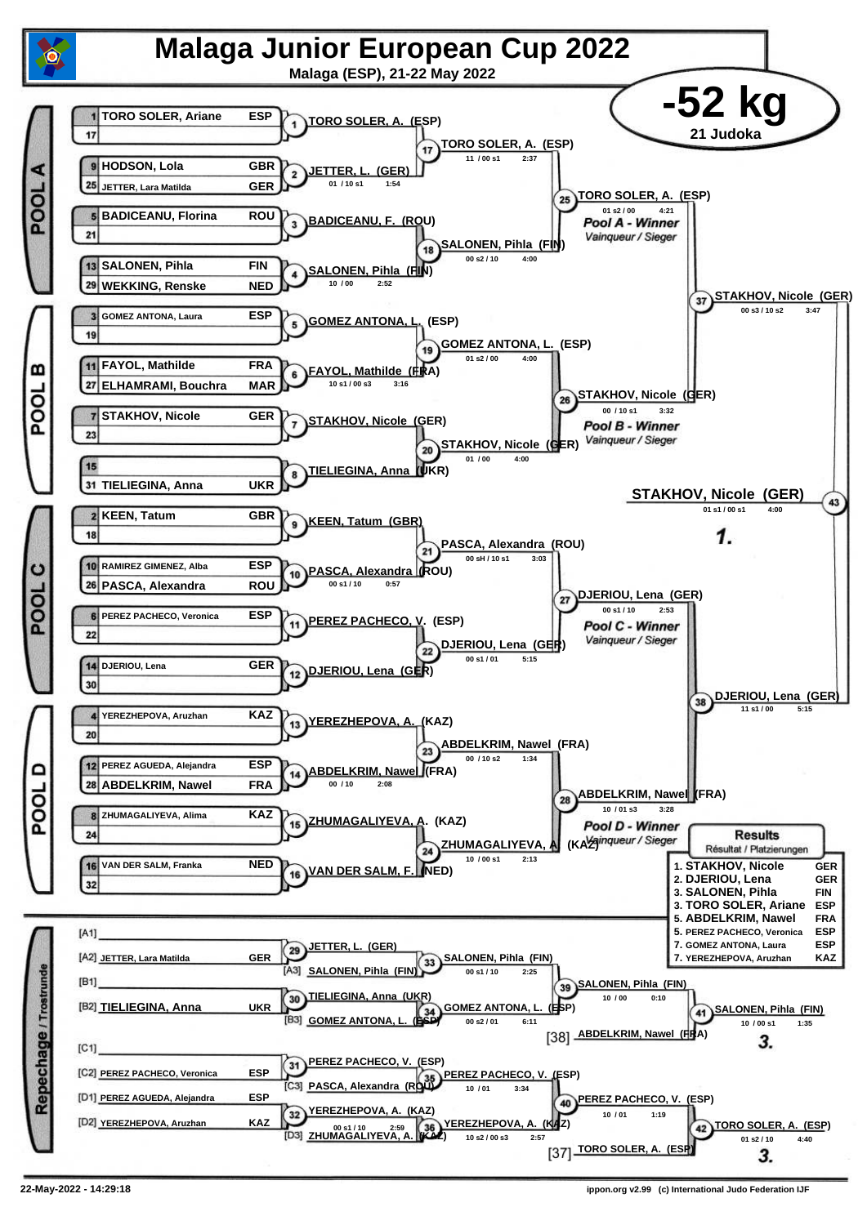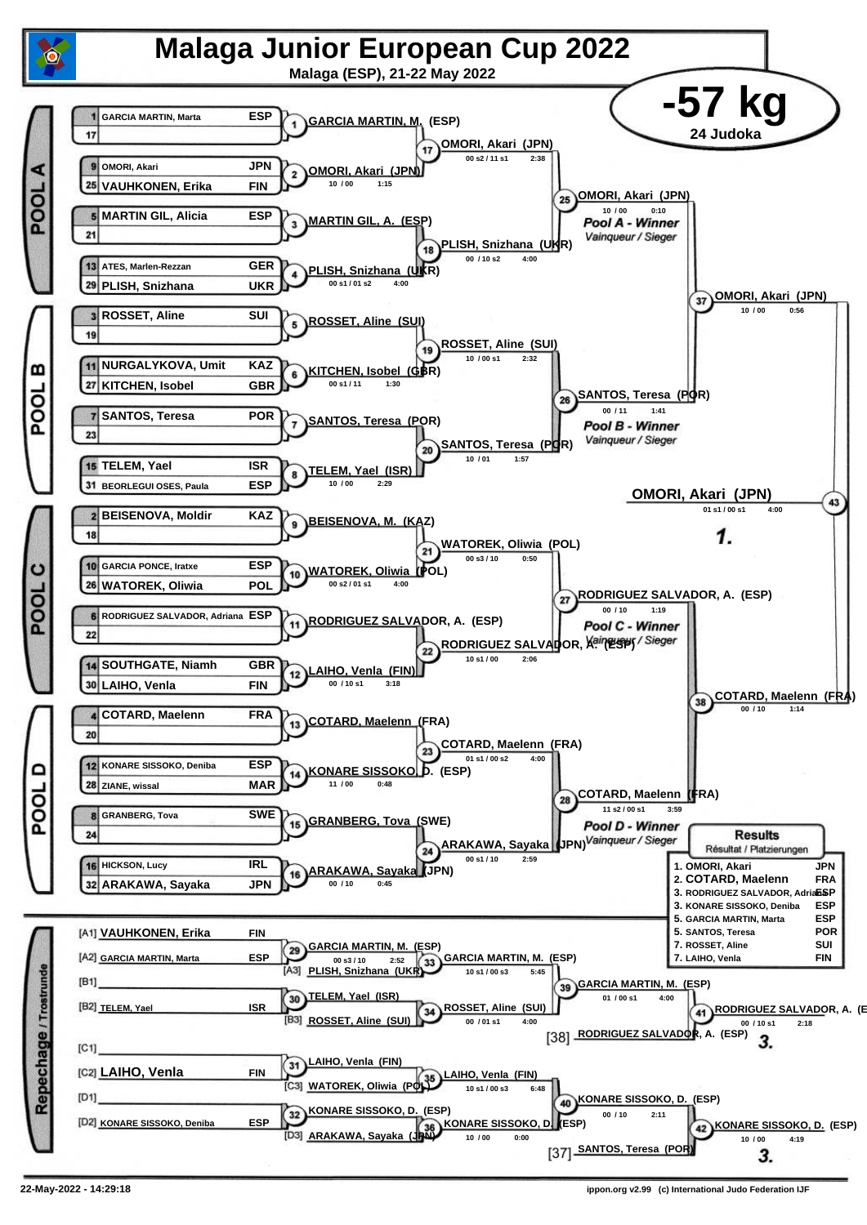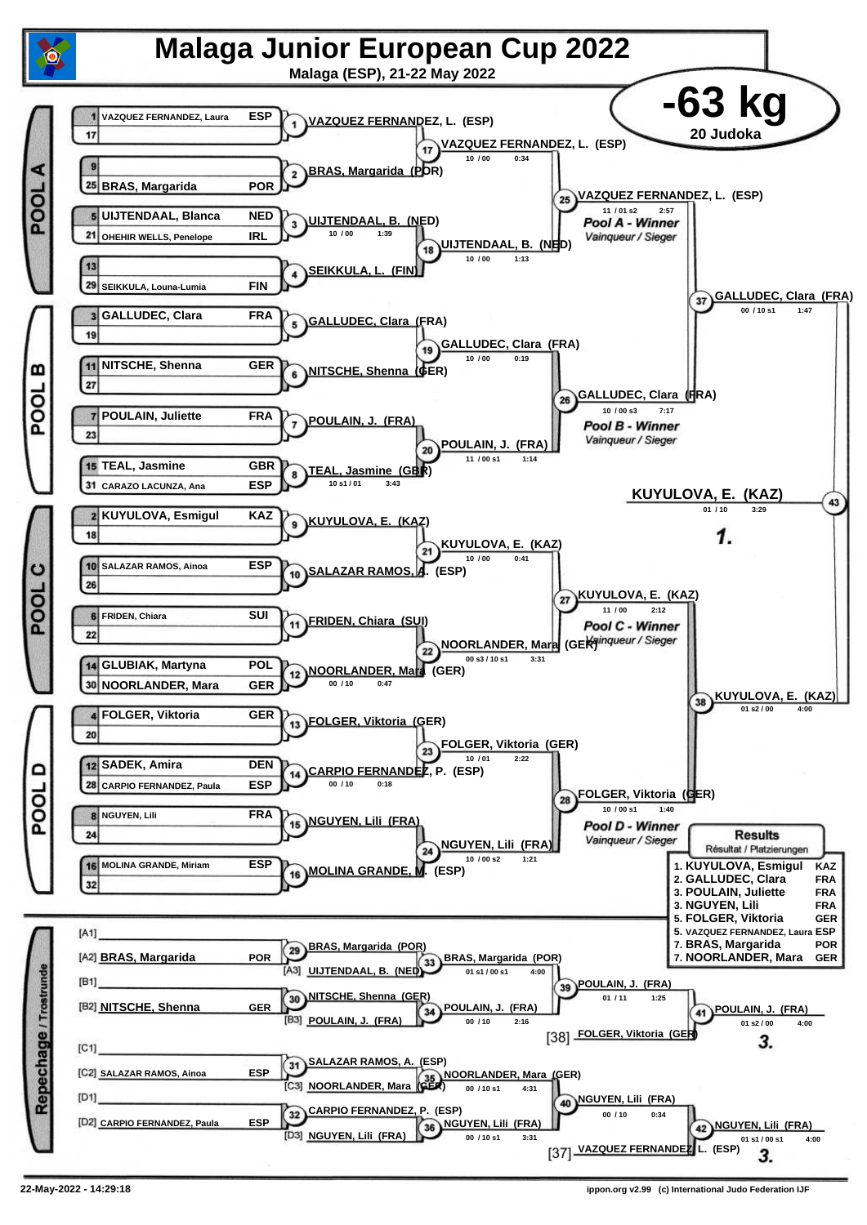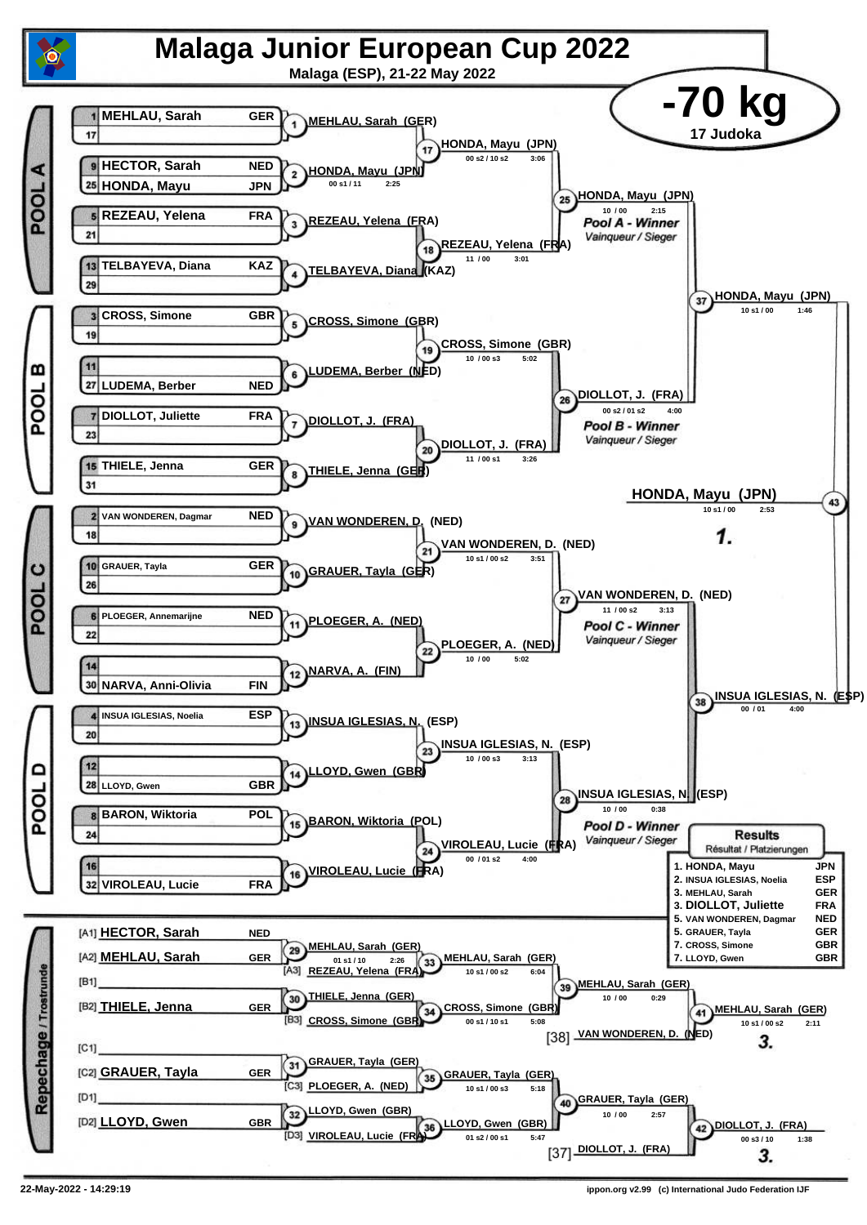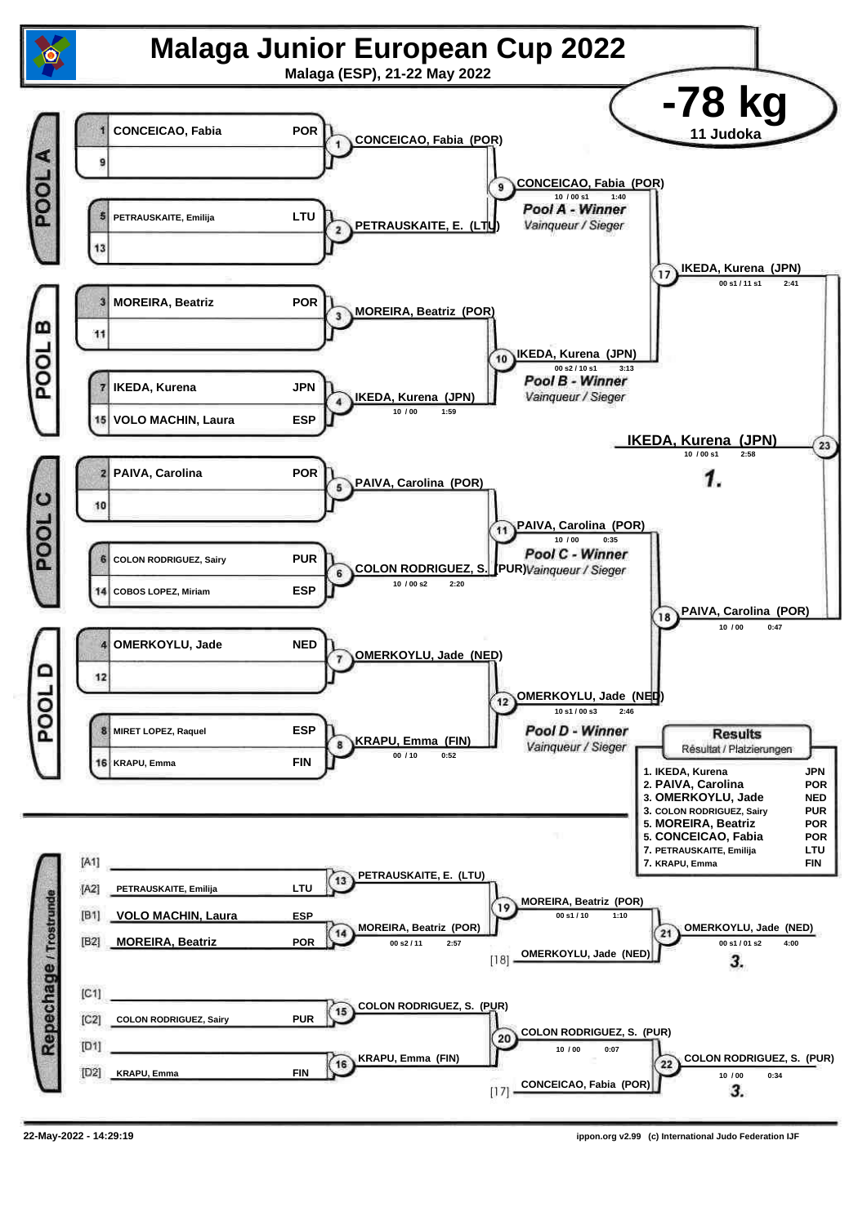